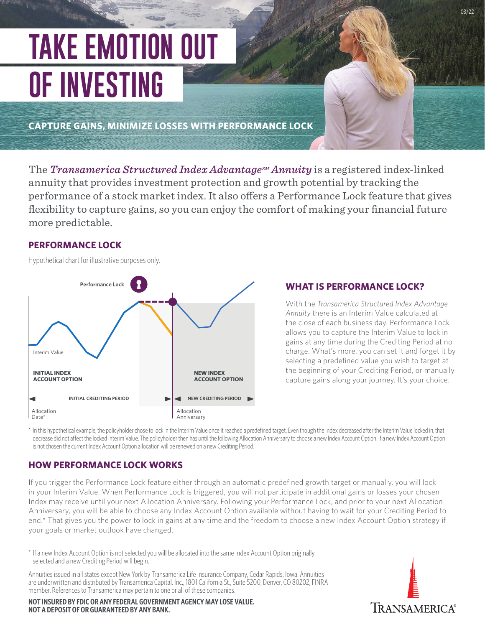# **TAKE EMOTION OUT OF INVESTING**

**CAPTURE GAINS, MINIMIZE LOSSES WITH PERFORMANCE LOCK**

The *Transamerica Structured Index Advantage*<sup>M</sup> Annuity is a registered index-linked annuity that provides investment protection and growth potential by tracking the performance of a stock market index. It also offers a Performance Lock feature that gives flexibility to capture gains, so you can enjoy the comfort of making your financial future more predictable.

## **PERFORMANCE LOCK**

Hypothetical chart for illustrative purposes only.

Allocation Anniversary Allocation Date\* **INITIAL CREDITING PERIOD**  $\rightarrow$  **NEW CREDITING PERIOD INITIAL INDEX ACCOUNT OPTION** Interim Value **Performance Lock NEW INDEX ACCOUNT OPTION** 

## **WHAT IS PERFORMANCE LOCK?**

With the *Transamerica Structured Index Advantage Annuity* there is an Interim Value calculated at the close of each business day. Performance Lock allows you to capture the Interim Value to lock in gains at any time during the Crediting Period at no charge. What's more, you can set it and forget it by selecting a predefined value you wish to target at the beginning of your Crediting Period, or manually capture gains along your journey. It's your choice.

\* In this hypothetical example, the policyholder chose to lock in the Interim Value once it reached a predefined target. Even though the Index decreased after the Interim Value locked in, that decrease did not affect the locked Interim Value. The policyholder then has until the following Allocation Anniversary to choose a new Index Account Option. If a new Index Account Option is not chosen the current Index Account Option allocation will be renewed on a new Crediting Period.

# **HOW PERFORMANCE LOCK WORKS**

If you trigger the Performance Lock feature either through an automatic predefined growth target or manually, you will lock in your Interim Value. When Performance Lock is triggered, you will not participate in additional gains or losses your chosen Index may receive until your next Allocation Anniversary. Following your Performance Lock, and prior to your next Allocation Anniversary, you will be able to choose any Index Account Option available without having to wait for your Crediting Period to end.\* That gives you the power to lock in gains at any time and the freedom to choose a new Index Account Option strategy if your goals or market outlook have changed.

\* If a new Index Account Option is not selected you will be allocated into the same Index Account Option originally selected and a new Crediting Period will begin.

Annuities issued in all states except New York by Transamerica Life Insurance Company, Cedar Rapids, Iowa. Annuities are underwritten and distributed by Transamerica Capital, Inc., 1801 California St., Suite 5200, Denver, CO 80202, FINRA member. References to Transamerica may pertain to one or all of these companies.

**NOT INSURED BY FDIC OR ANY FEDERAL GOVERNMENT AGENCY MAY LOSE VALUE. NOT A DEPOSIT OF OR GUARANTEED BY ANY BANK.**